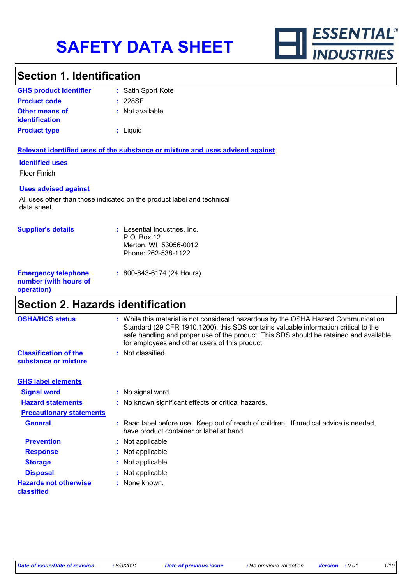

# **Section 1. Identification**

| <b>GHS product identifier</b>                  | : Satin Sport Kote |
|------------------------------------------------|--------------------|
| <b>Product code</b>                            | : 228SF            |
| <b>Other means of</b><br><i>identification</i> | : Not available    |
| <b>Product type</b>                            | : Liquid           |

#### **Relevant identified uses of the substance or mixture and uses advised against**

#### **Identified uses**

Floor Finish

#### **Uses advised against**

All uses other than those indicated on the product label and technical data sheet.

| <b>Supplier's details</b>                                         | : Essential Industries, Inc.<br>P.O. Box 12<br>Merton, WI 53056-0012<br>Phone: 262-538-1122 |
|-------------------------------------------------------------------|---------------------------------------------------------------------------------------------|
| <b>Emergency telephone</b><br>number (with hours of<br>operation) | : 800-843-6174 (24 Hours)                                                                   |

### **Section 2. Hazards identification**

| <b>OSHA/HCS status</b>                               | : While this material is not considered hazardous by the OSHA Hazard Communication<br>Standard (29 CFR 1910.1200), this SDS contains valuable information critical to the<br>safe handling and proper use of the product. This SDS should be retained and available<br>for employees and other users of this product. |
|------------------------------------------------------|-----------------------------------------------------------------------------------------------------------------------------------------------------------------------------------------------------------------------------------------------------------------------------------------------------------------------|
| <b>Classification of the</b><br>substance or mixture | : Not classified.                                                                                                                                                                                                                                                                                                     |
| <b>GHS label elements</b>                            |                                                                                                                                                                                                                                                                                                                       |
| <b>Signal word</b>                                   | : No signal word.                                                                                                                                                                                                                                                                                                     |
| <b>Hazard statements</b>                             | : No known significant effects or critical hazards.                                                                                                                                                                                                                                                                   |
| <b>Precautionary statements</b>                      |                                                                                                                                                                                                                                                                                                                       |
| <b>General</b>                                       | : Read label before use. Keep out of reach of children. If medical advice is needed,<br>have product container or label at hand.                                                                                                                                                                                      |
| <b>Prevention</b>                                    | : Not applicable                                                                                                                                                                                                                                                                                                      |
| <b>Response</b>                                      | : Not applicable                                                                                                                                                                                                                                                                                                      |
| <b>Storage</b>                                       | : Not applicable                                                                                                                                                                                                                                                                                                      |
| <b>Disposal</b>                                      | : Not applicable                                                                                                                                                                                                                                                                                                      |
| <b>Hazards not otherwise</b><br>classified           | : None known.                                                                                                                                                                                                                                                                                                         |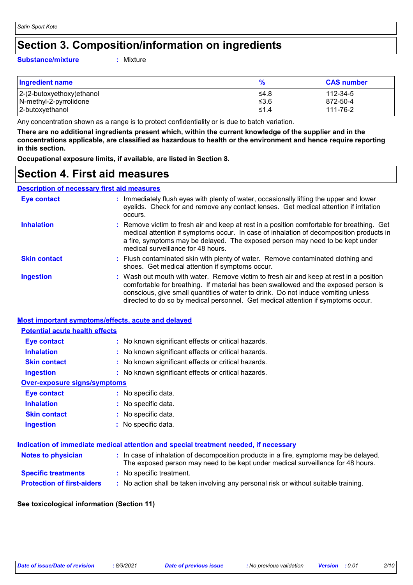### **Section 3. Composition/information on ingredients**

#### **Substance/mixture :**

: Mixture

| <b>Ingredient name</b>    | $\frac{9}{6}$ | <b>CAS number</b> |
|---------------------------|---------------|-------------------|
| 2-(2-butoxyethoxy)ethanol | l≤4.8         | 112-34-5          |
| N-methyl-2-pyrrolidone    | 53.6          | 872-50-4          |
| 2-butoxyethanol           | $\leq 1.4$    | 111-76-2          |

Any concentration shown as a range is to protect confidentiality or is due to batch variation.

**There are no additional ingredients present which, within the current knowledge of the supplier and in the concentrations applicable, are classified as hazardous to health or the environment and hence require reporting in this section.**

**Occupational exposure limits, if available, are listed in Section 8.**

### **Section 4. First aid measures**

#### **Description of necessary first aid measures**

| <b>Eye contact</b>  | : Immediately flush eyes with plenty of water, occasionally lifting the upper and lower<br>eyelids. Check for and remove any contact lenses. Get medical attention if irritation<br>occurs.                                                                                                                                                            |
|---------------------|--------------------------------------------------------------------------------------------------------------------------------------------------------------------------------------------------------------------------------------------------------------------------------------------------------------------------------------------------------|
| <b>Inhalation</b>   | : Remove victim to fresh air and keep at rest in a position comfortable for breathing. Get<br>medical attention if symptoms occur. In case of inhalation of decomposition products in<br>a fire, symptoms may be delayed. The exposed person may need to be kept under<br>medical surveillance for 48 hours.                                           |
| <b>Skin contact</b> | : Flush contaminated skin with plenty of water. Remove contaminated clothing and<br>shoes. Get medical attention if symptoms occur.                                                                                                                                                                                                                    |
| <b>Ingestion</b>    | : Wash out mouth with water. Remove victim to fresh air and keep at rest in a position<br>comfortable for breathing. If material has been swallowed and the exposed person is<br>conscious, give small quantities of water to drink. Do not induce vomiting unless<br>directed to do so by medical personnel. Get medical attention if symptoms occur. |

#### **Most important symptoms/effects, acute and delayed**

### **Eye contact :** No known significant effects or critical hazards. **Potential acute health effects**

| $\blacksquare$ , $\triangleright$ $\triangleright$ $\triangleright$ $\square$ . Then $\triangleright$ : |                                                     |
|---------------------------------------------------------------------------------------------------------|-----------------------------------------------------|
| <b>Inhalation</b>                                                                                       | : No known significant effects or critical hazards. |
| <b>Skin contact</b>                                                                                     | : No known significant effects or critical hazards. |
| <b>Ingestion</b>                                                                                        | : No known significant effects or critical hazards. |
| Over-exposure signs/symptoms                                                                            |                                                     |
| <b>Eye contact</b>                                                                                      | : No specific data.                                 |
| <b>Inhalation</b>                                                                                       | : No specific data.                                 |
| <b>Skin contact</b>                                                                                     | : No specific data.                                 |
| <b>Ingestion</b>                                                                                        | : No specific data.                                 |
|                                                                                                         |                                                     |

| Indication of immediate medical attention and special treatment needed, if necessary |  |                                                                                                                                                                          |
|--------------------------------------------------------------------------------------|--|--------------------------------------------------------------------------------------------------------------------------------------------------------------------------|
| <b>Notes to physician</b>                                                            |  | : In case of inhalation of decomposition products in a fire, symptoms may be delayed.<br>The exposed person may need to be kept under medical surveillance for 48 hours. |
| <b>Specific treatments</b>                                                           |  | : No specific treatment.                                                                                                                                                 |
| <b>Protection of first-aiders</b>                                                    |  | : No action shall be taken involving any personal risk or without suitable training.                                                                                     |

#### **See toxicological information (Section 11)**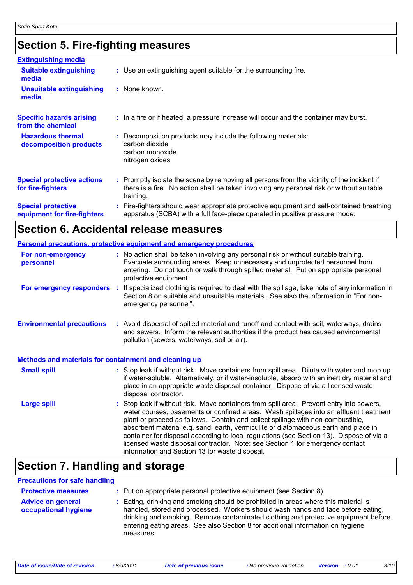# **Section 5. Fire-fighting measures**

| <b>Extinguishing media</b>                               |                                                                                                                                                                                                     |
|----------------------------------------------------------|-----------------------------------------------------------------------------------------------------------------------------------------------------------------------------------------------------|
| <b>Suitable extinguishing</b><br>media                   | : Use an extinguishing agent suitable for the surrounding fire.                                                                                                                                     |
| <b>Unsuitable extinguishing</b><br>media                 | : None known.                                                                                                                                                                                       |
| <b>Specific hazards arising</b><br>from the chemical     | : In a fire or if heated, a pressure increase will occur and the container may burst.                                                                                                               |
| <b>Hazardous thermal</b><br>decomposition products       | Decomposition products may include the following materials:<br>carbon dioxide<br>carbon monoxide<br>nitrogen oxides                                                                                 |
| <b>Special protective actions</b><br>for fire-fighters   | : Promptly isolate the scene by removing all persons from the vicinity of the incident if<br>there is a fire. No action shall be taken involving any personal risk or without suitable<br>training. |
| <b>Special protective</b><br>equipment for fire-fighters | Fire-fighters should wear appropriate protective equipment and self-contained breathing<br>apparatus (SCBA) with a full face-piece operated in positive pressure mode.                              |

### **Section 6. Accidental release measures**

|                                                              | <b>Personal precautions, protective equipment and emergency procedures</b>                                                                                                                                                                                                                                                                                                                                                                                                                                                                                                                 |  |
|--------------------------------------------------------------|--------------------------------------------------------------------------------------------------------------------------------------------------------------------------------------------------------------------------------------------------------------------------------------------------------------------------------------------------------------------------------------------------------------------------------------------------------------------------------------------------------------------------------------------------------------------------------------------|--|
| For non-emergency<br>personnel                               | : No action shall be taken involving any personal risk or without suitable training.<br>Evacuate surrounding areas. Keep unnecessary and unprotected personnel from<br>entering. Do not touch or walk through spilled material. Put on appropriate personal<br>protective equipment.                                                                                                                                                                                                                                                                                                       |  |
| For emergency responders                                     | : If specialized clothing is required to deal with the spillage, take note of any information in<br>Section 8 on suitable and unsuitable materials. See also the information in "For non-<br>emergency personnel".                                                                                                                                                                                                                                                                                                                                                                         |  |
| <b>Environmental precautions</b>                             | : Avoid dispersal of spilled material and runoff and contact with soil, waterways, drains<br>and sewers. Inform the relevant authorities if the product has caused environmental<br>pollution (sewers, waterways, soil or air).                                                                                                                                                                                                                                                                                                                                                            |  |
| <b>Methods and materials for containment and cleaning up</b> |                                                                                                                                                                                                                                                                                                                                                                                                                                                                                                                                                                                            |  |
| <b>Small spill</b>                                           | : Stop leak if without risk. Move containers from spill area. Dilute with water and mop up<br>if water-soluble. Alternatively, or if water-insoluble, absorb with an inert dry material and<br>place in an appropriate waste disposal container. Dispose of via a licensed waste<br>disposal contractor.                                                                                                                                                                                                                                                                                   |  |
| <b>Large spill</b>                                           | : Stop leak if without risk. Move containers from spill area. Prevent entry into sewers,<br>water courses, basements or confined areas. Wash spillages into an effluent treatment<br>plant or proceed as follows. Contain and collect spillage with non-combustible,<br>absorbent material e.g. sand, earth, vermiculite or diatomaceous earth and place in<br>container for disposal according to local regulations (see Section 13). Dispose of via a<br>licensed waste disposal contractor. Note: see Section 1 for emergency contact<br>information and Section 13 for waste disposal. |  |

# **Section 7. Handling and storage**

#### **Precautions for safe handling**

| <b>Protective measures</b>                       | : Put on appropriate personal protective equipment (see Section 8).                                                                                                                                                                                                                                                                                           |
|--------------------------------------------------|---------------------------------------------------------------------------------------------------------------------------------------------------------------------------------------------------------------------------------------------------------------------------------------------------------------------------------------------------------------|
| <b>Advice on general</b><br>occupational hygiene | : Eating, drinking and smoking should be prohibited in areas where this material is<br>handled, stored and processed. Workers should wash hands and face before eating,<br>drinking and smoking. Remove contaminated clothing and protective equipment before<br>entering eating areas. See also Section 8 for additional information on hygiene<br>measures. |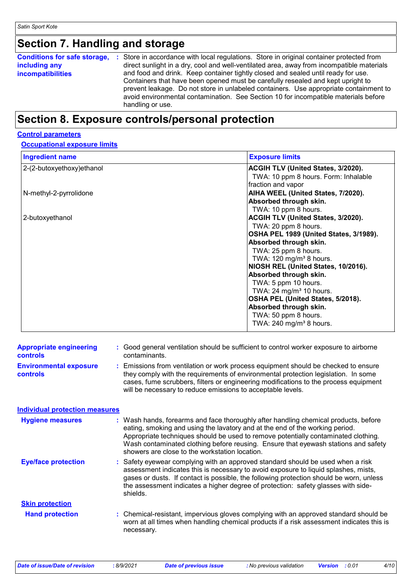# **Section 7. Handling and storage**

### **Section 8. Exposure controls/personal protection**

#### **Control parameters**

#### **Occupational exposure limits**

| <b>Ingredient name</b>     | <b>Exposure limits</b>                    |
|----------------------------|-------------------------------------------|
| 2-(2-butoxyethoxy) ethanol | <b>ACGIH TLV (United States, 3/2020).</b> |
|                            | TWA: 10 ppm 8 hours. Form: Inhalable      |
|                            | fraction and vapor                        |
| N-methyl-2-pyrrolidone     | AIHA WEEL (United States, 7/2020).        |
|                            | Absorbed through skin.                    |
|                            | TWA: 10 ppm 8 hours.                      |
| 2-butoxyethanol            | <b>ACGIH TLV (United States, 3/2020).</b> |
|                            | TWA: 20 ppm 8 hours.                      |
|                            | OSHA PEL 1989 (United States, 3/1989).    |
|                            | Absorbed through skin.                    |
|                            | TWA: 25 ppm 8 hours.                      |
|                            | TWA: 120 mg/m <sup>3</sup> 8 hours.       |
|                            | NIOSH REL (United States, 10/2016).       |
|                            | Absorbed through skin.                    |
|                            | TWA: 5 ppm 10 hours.                      |
|                            | TWA: 24 mg/m <sup>3</sup> 10 hours.       |
|                            | OSHA PEL (United States, 5/2018).         |
|                            | Absorbed through skin.                    |
|                            | TWA: 50 ppm 8 hours.                      |
|                            | TWA: $240$ mg/m <sup>3</sup> 8 hours.     |

| <b>Appropriate engineering</b><br><b>controls</b> |    | Good general ventilation should be sufficient to control worker exposure to airborne<br>contaminants.                                                                                                                                                                                                                                                                                           |
|---------------------------------------------------|----|-------------------------------------------------------------------------------------------------------------------------------------------------------------------------------------------------------------------------------------------------------------------------------------------------------------------------------------------------------------------------------------------------|
| <b>Environmental exposure</b><br><b>controls</b>  | ÷. | Emissions from ventilation or work process equipment should be checked to ensure<br>they comply with the requirements of environmental protection legislation. In some<br>cases, fume scrubbers, filters or engineering modifications to the process equipment<br>will be necessary to reduce emissions to acceptable levels.                                                                   |
| <b>Individual protection measures</b>             |    |                                                                                                                                                                                                                                                                                                                                                                                                 |
| <b>Hygiene measures</b>                           |    | Wash hands, forearms and face thoroughly after handling chemical products, before<br>eating, smoking and using the lavatory and at the end of the working period.<br>Appropriate techniques should be used to remove potentially contaminated clothing.<br>Wash contaminated clothing before reusing. Ensure that eyewash stations and safety<br>showers are close to the workstation location. |
| <b>Eye/face protection</b>                        |    | Safety eyewear complying with an approved standard should be used when a risk<br>assessment indicates this is necessary to avoid exposure to liquid splashes, mists,<br>gases or dusts. If contact is possible, the following protection should be worn, unless<br>the assessment indicates a higher degree of protection: safety glasses with side-<br>shields.                                |
| <b>Skin protection</b>                            |    |                                                                                                                                                                                                                                                                                                                                                                                                 |
| <b>Hand protection</b>                            |    | : Chemical-resistant, impervious gloves complying with an approved standard should be<br>worn at all times when handling chemical products if a risk assessment indicates this is<br>necessary.                                                                                                                                                                                                 |
|                                                   |    |                                                                                                                                                                                                                                                                                                                                                                                                 |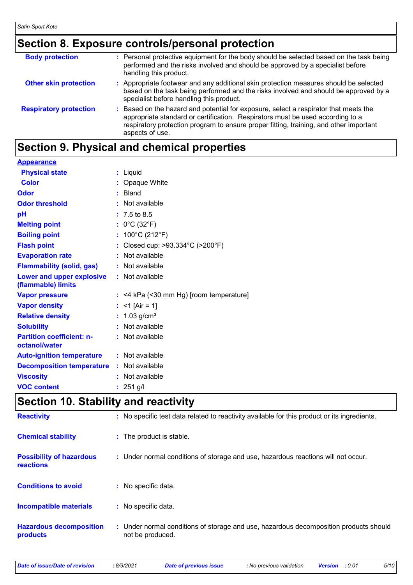# **Section 8. Exposure controls/personal protection**

| <b>Body protection</b>        | : Personal protective equipment for the body should be selected based on the task being<br>performed and the risks involved and should be approved by a specialist before<br>handling this product.                                                                                 |
|-------------------------------|-------------------------------------------------------------------------------------------------------------------------------------------------------------------------------------------------------------------------------------------------------------------------------------|
| <b>Other skin protection</b>  | : Appropriate footwear and any additional skin protection measures should be selected<br>based on the task being performed and the risks involved and should be approved by a<br>specialist before handling this product.                                                           |
| <b>Respiratory protection</b> | : Based on the hazard and potential for exposure, select a respirator that meets the<br>appropriate standard or certification. Respirators must be used according to a<br>respiratory protection program to ensure proper fitting, training, and other important<br>aspects of use. |

# **Section 9. Physical and chemical properties**

| <b>Appearance</b>                                 |                                           |
|---------------------------------------------------|-------------------------------------------|
| <b>Physical state</b>                             | : Liquid                                  |
| <b>Color</b>                                      | : Opaque White                            |
| <b>Odor</b>                                       | : Bland                                   |
| <b>Odor threshold</b>                             | : Not available                           |
| pH                                                | $: 7.5 \text{ to } 8.5$                   |
| <b>Melting point</b>                              | : $0^{\circ}$ C (32 $^{\circ}$ F)         |
| <b>Boiling point</b>                              | : $100^{\circ}$ C (212 $^{\circ}$ F)      |
| <b>Flash point</b>                                | : Closed cup: >93.334°C (>200°F)          |
| <b>Evaporation rate</b>                           | : Not available                           |
| <b>Flammability (solid, gas)</b>                  | : Not available                           |
| Lower and upper explosive<br>(flammable) limits   | : Not available                           |
| <b>Vapor pressure</b>                             | $:$ <4 kPa (<30 mm Hg) [room temperature] |
| <b>Vapor density</b>                              | : $<$ 1 [Air = 1]                         |
| <b>Relative density</b>                           | : $1.03$ g/cm <sup>3</sup>                |
| <b>Solubility</b>                                 | : Not available                           |
| <b>Partition coefficient: n-</b><br>octanol/water | : Not available                           |
| <b>Auto-ignition temperature</b>                  | : Not available                           |
| <b>Decomposition temperature</b>                  | : Not available                           |
| <b>Viscosity</b>                                  | : Not available                           |
| <b>VOC content</b>                                | : $251$ g/l                               |

### **Section 10. Stability and reactivity**

| <b>Reactivity</b>                            | : No specific test data related to reactivity available for this product or its ingredients.              |
|----------------------------------------------|-----------------------------------------------------------------------------------------------------------|
| <b>Chemical stability</b>                    | : The product is stable.                                                                                  |
| <b>Possibility of hazardous</b><br>reactions | : Under normal conditions of storage and use, hazardous reactions will not occur.                         |
| <b>Conditions to avoid</b>                   | : No specific data.                                                                                       |
| <b>Incompatible materials</b>                | : No specific data.                                                                                       |
| <b>Hazardous decomposition</b><br>products   | : Under normal conditions of storage and use, hazardous decomposition products should<br>not be produced. |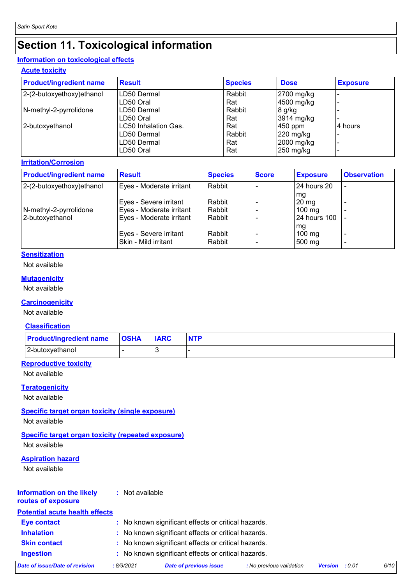# **Section 11. Toxicological information**

### **Information on toxicological effects**

**Acute toxicity**

| <b>Product/ingredient name</b> | <b>Result</b>        | <b>Species</b> | <b>Dose</b> | <b>Exposure</b> |
|--------------------------------|----------------------|----------------|-------------|-----------------|
| $ 2-(2-butoxyethoxy)ethanol$   | LD50 Dermal          | Rabbit         | 2700 mg/kg  |                 |
|                                | LD50 Oral            | Rat            | 4500 mg/kg  |                 |
| N-methyl-2-pyrrolidone         | LD50 Dermal          | Rabbit         | $8$ g/kg    |                 |
|                                | LD50 Oral            | Rat            | 3914 mg/kg  |                 |
| 2-butoxyethanol                | LC50 Inhalation Gas. | Rat            | $ 450$ ppm  | 4 hours         |
|                                | LD50 Dermal          | Rabbit         | $220$ mg/kg |                 |
|                                | LD50 Dermal          | Rat            | 2000 mg/kg  |                 |
|                                | LD50 Oral            | Rat            | $250$ mg/kg |                 |

#### **Irritation/Corrosion**

| <b>Product/ingredient name</b> | <b>Result</b>            | <b>Species</b> | <b>Score</b> | <b>Exposure</b>     | <b>Observation</b> |
|--------------------------------|--------------------------|----------------|--------------|---------------------|--------------------|
| 2-(2-butoxyethoxy) ethanol     | Eyes - Moderate irritant | Rabbit         |              | 24 hours 20         | ٠                  |
|                                |                          |                |              | mg                  |                    |
|                                | Eyes - Severe irritant   | Rabbit         |              | $20 \,\mathrm{mg}$  |                    |
| N-methyl-2-pyrrolidone         | Eyes - Moderate irritant | Rabbit         |              | $100 \text{ mg}$    |                    |
| 2-butoxyethanol                | Eyes - Moderate irritant | Rabbit         |              | <b>24 hours 100</b> |                    |
|                                |                          |                |              | mg                  |                    |
|                                | Eyes - Severe irritant   | Rabbit         |              | $100$ mg            | ٠                  |
|                                | Skin - Mild irritant     | Rabbit         |              | 500 mg              | ٠                  |

### **Sensitization**

Not available

#### **Mutagenicity**

Not available

#### **Carcinogenicity**

Not available

#### **Classification**

| <b>Product/ingredient name OSHA</b> | <b>IARC</b> | <b>NTP</b> |
|-------------------------------------|-------------|------------|
| 2-butoxyethanol                     |             |            |

### **Reproductive toxicity**

Not available

#### **Teratogenicity**

Not available

#### **Specific target organ toxicity (single exposure)**

Not available

#### **Specific target organ toxicity (repeated exposure)** Not available

#### **Aspiration hazard**

Not available

| <b>Information on the likely</b> | : Not available |
|----------------------------------|-----------------|
| routes of exposure               |                 |

| <b>Potential acute health effects</b> |           |                                                     |                          |                       |      |
|---------------------------------------|-----------|-----------------------------------------------------|--------------------------|-----------------------|------|
| <b>Eye contact</b>                    |           | : No known significant effects or critical hazards. |                          |                       |      |
| <b>Inhalation</b>                     |           | : No known significant effects or critical hazards. |                          |                       |      |
| <b>Skin contact</b>                   |           | : No known significant effects or critical hazards. |                          |                       |      |
| <b>Ingestion</b>                      |           | : No known significant effects or critical hazards. |                          |                       |      |
| Date of issue/Date of revision        | :8/9/2021 | Date of previous issue                              | : No previous validation | <b>Version</b> : 0.01 | 6/10 |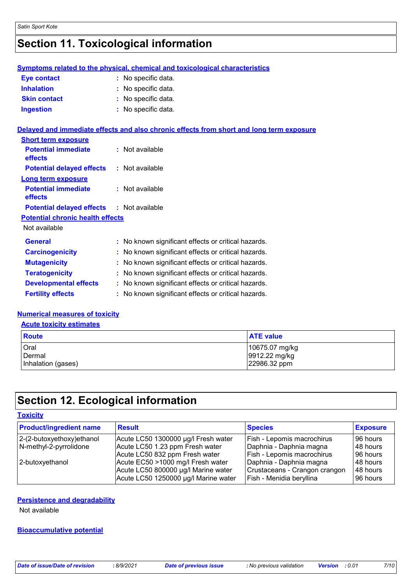# **Section 11. Toxicological information**

|                     | Symptoms related to the physical, chemical and toxicological characteristics |
|---------------------|------------------------------------------------------------------------------|
| <b>Eye contact</b>  | : No specific data.                                                          |
| <b>Inhalation</b>   | : No specific data.                                                          |
| <b>Skin contact</b> | : No specific data.                                                          |
| <b>Ingestion</b>    | : No specific data.                                                          |
|                     |                                                                              |

#### **Delayed and immediate effects and also chronic effects from short and long term exposure**

| <b>Short term exposure</b>                       |                   |
|--------------------------------------------------|-------------------|
| <b>Potential immediate</b><br>effects            | $:$ Not available |
| <b>Potential delayed effects</b>                 | : Not available   |
| Long term exposure                               |                   |
| <b>Potential immediate</b><br>effects            | $:$ Not available |
| <b>Potential delayed effects : Not available</b> |                   |
| <b>Potential chronic health effects</b>          |                   |
| Not available                                    |                   |
|                                                  |                   |

| <b>Fertility effects</b>     | : No known significant effects or critical hazards. |
|------------------------------|-----------------------------------------------------|
| <b>Developmental effects</b> | : No known significant effects or critical hazards. |
| <b>Teratogenicity</b>        | : No known significant effects or critical hazards. |
| <b>Mutagenicity</b>          | : No known significant effects or critical hazards. |
| <b>Carcinogenicity</b>       | : No known significant effects or critical hazards. |
| <b>General</b>               | : No known significant effects or critical hazards. |

#### **Numerical measures of toxicity**

#### **Acute toxicity estimates**

| Route              | <b>ATE value</b> |
|--------------------|------------------|
| Oral               | 10675.07 mg/kg   |
| Dermal             | 9912.22 mg/kg    |
| Inhalation (gases) | 22986.32 ppm     |

# **Section 12. Ecological information**

| <b>Toxicity</b>                                        |                                                                                                                  |                                                                                            |                                  |  |
|--------------------------------------------------------|------------------------------------------------------------------------------------------------------------------|--------------------------------------------------------------------------------------------|----------------------------------|--|
| <b>Product/ingredient name</b>                         | Result                                                                                                           | <b>Species</b>                                                                             | <b>Exposure</b>                  |  |
| $ 2-(2-butoxyethoxy)ethanol$<br>N-methyl-2-pyrrolidone | Acute LC50 1300000 µg/l Fresh water<br>Acute LC50 1.23 ppm Fresh water<br>Acute LC50 832 ppm Fresh water         | <b>Fish - Lepomis macrochirus</b><br>Daphnia - Daphnia magna<br>Fish - Lepomis macrochirus | 96 hours<br>48 hours<br>96 hours |  |
| 2-butoxyethanol                                        | Acute EC50 >1000 mg/l Fresh water<br>Acute LC50 800000 µg/l Marine water<br>Acute LC50 1250000 µg/l Marine water | Daphnia - Daphnia magna<br>Crustaceans - Crangon crangon<br>Fish - Menidia beryllina       | 48 hours<br>48 hours<br>96 hours |  |

#### **Persistence and degradability**

Not available

#### **Bioaccumulative potential**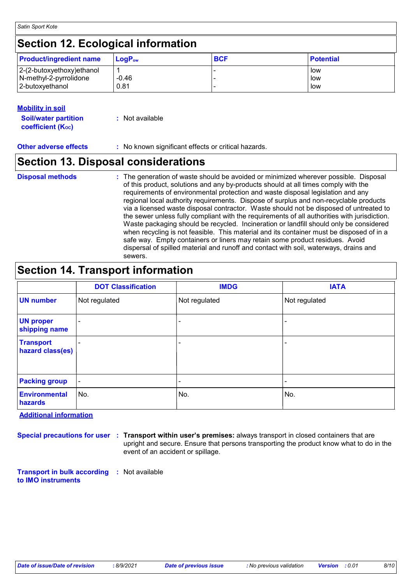#### **Mobility in soil**

| <b>Soil/water partition</b> | : Not available |
|-----------------------------|-----------------|
| <b>coefficient (Koc)</b>    |                 |

**Other adverse effects** : No known significant effects or critical hazards.

### **Section 13. Disposal considerations**

### **Disposal methods :**

The generation of waste should be avoided or minimized wherever possible. Disposal of this product, solutions and any by-products should at all times comply with the requirements of environmental protection and waste disposal legislation and any regional local authority requirements. Dispose of surplus and non-recyclable products via a licensed waste disposal contractor. Waste should not be disposed of untreated to the sewer unless fully compliant with the requirements of all authorities with jurisdiction. Waste packaging should be recycled. Incineration or landfill should only be considered when recycling is not feasible. This material and its container must be disposed of in a safe way. Empty containers or liners may retain some product residues. Avoid dispersal of spilled material and runoff and contact with soil, waterways, drains and sewers.

### **Section 14. Transport information**

|                                      | <b>DOT Classification</b> | <b>IMDG</b>   | <b>IATA</b>   |
|--------------------------------------|---------------------------|---------------|---------------|
| <b>UN number</b>                     | Not regulated             | Not regulated | Not regulated |
| <b>UN proper</b><br>shipping name    |                           | ۰             |               |
| <b>Transport</b><br>hazard class(es) |                           | ۰             |               |
| <b>Packing group</b>                 | $\blacksquare$            |               |               |
| <b>Environmental</b><br>hazards      | No.                       | No.           | No.           |

**Additional information**

**Special precautions for user Transport within user's premises:** always transport in closed containers that are **:** upright and secure. Ensure that persons transporting the product know what to do in the event of an accident or spillage.

**Transport in bulk according :** Not available **to IMO instruments**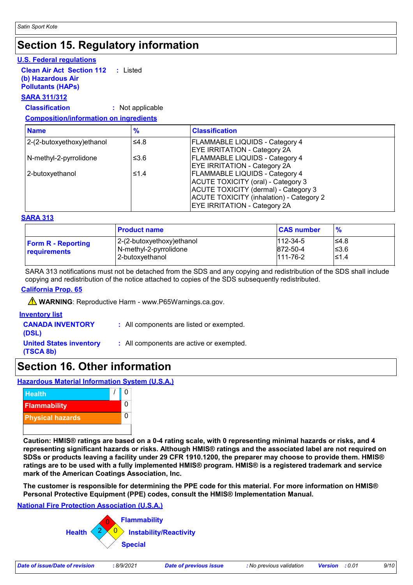### **Section 15. Regulatory information**

#### **U.S. Federal regulations**

**Clean Air Act Section 112 (b) Hazardous Air :** Listed

**Pollutants (HAPs)**

#### **SARA 311/312**

**Classification :** Not applicable

#### **Composition/information on ingredients**

| <b>Name</b>                | $\frac{9}{6}$ | <b>Classification</b>                                                                                                                                                                                         |
|----------------------------|---------------|---------------------------------------------------------------------------------------------------------------------------------------------------------------------------------------------------------------|
| 2-(2-butoxyethoxy) ethanol | ≤4.8          | <b>FLAMMABLE LIQUIDS - Category 4</b><br><b>EYE IRRITATION - Category 2A</b>                                                                                                                                  |
| N-methyl-2-pyrrolidone     | ≤ $3.6$       | <b>FLAMMABLE LIQUIDS - Category 4</b><br><b>EYE IRRITATION - Category 2A</b>                                                                                                                                  |
| 2-butoxyethanol            | ≤1.4          | <b>FLAMMABLE LIQUIDS - Category 4</b><br>ACUTE TOXICITY (oral) - Category 3<br>ACUTE TOXICITY (dermal) - Category 3<br><b>ACUTE TOXICITY (inhalation) - Category 2</b><br><b>EYE IRRITATION - Category 2A</b> |

#### **SARA 313**

|                                           | <b>Product name</b>                                                    | <b>CAS number</b>                            | $\frac{9}{6}$           |
|-------------------------------------------|------------------------------------------------------------------------|----------------------------------------------|-------------------------|
| <b>Form R</b> - Reporting<br>requirements | 2-(2-butoxyethoxy)ethanol<br>N-methyl-2-pyrrolidone<br>2-butoxyethanol | $112 - 34 - 5$<br>872-50-4<br>$111 - 76 - 2$ | l≤4.8<br>$≤3.6$<br>≤1.4 |

SARA 313 notifications must not be detached from the SDS and any copying and redistribution of the SDS shall include copying and redistribution of the notice attached to copies of the SDS subsequently redistributed.

#### **California Prop. 65**

**A** WARNING: Reproductive Harm - www.P65Warnings.ca.gov.

#### **Inventory list**

- **CANADA INVENTORY (DSL) :** All components are listed or exempted. **United States inventory :** All components are active or exempted.
- **(TSCA 8b)**

# **Section 16. Other information**

**Hazardous Material Information System (U.S.A.)**



**Caution: HMIS® ratings are based on a 0-4 rating scale, with 0 representing minimal hazards or risks, and 4 representing significant hazards or risks. Although HMIS® ratings and the associated label are not required on SDSs or products leaving a facility under 29 CFR 1910.1200, the preparer may choose to provide them. HMIS® ratings are to be used with a fully implemented HMIS® program. HMIS® is a registered trademark and service mark of the American Coatings Association, Inc.**

**The customer is responsible for determining the PPE code for this material. For more information on HMIS® Personal Protective Equipment (PPE) codes, consult the HMIS® Implementation Manual.**

#### **National Fire Protection Association (U.S.A.)**